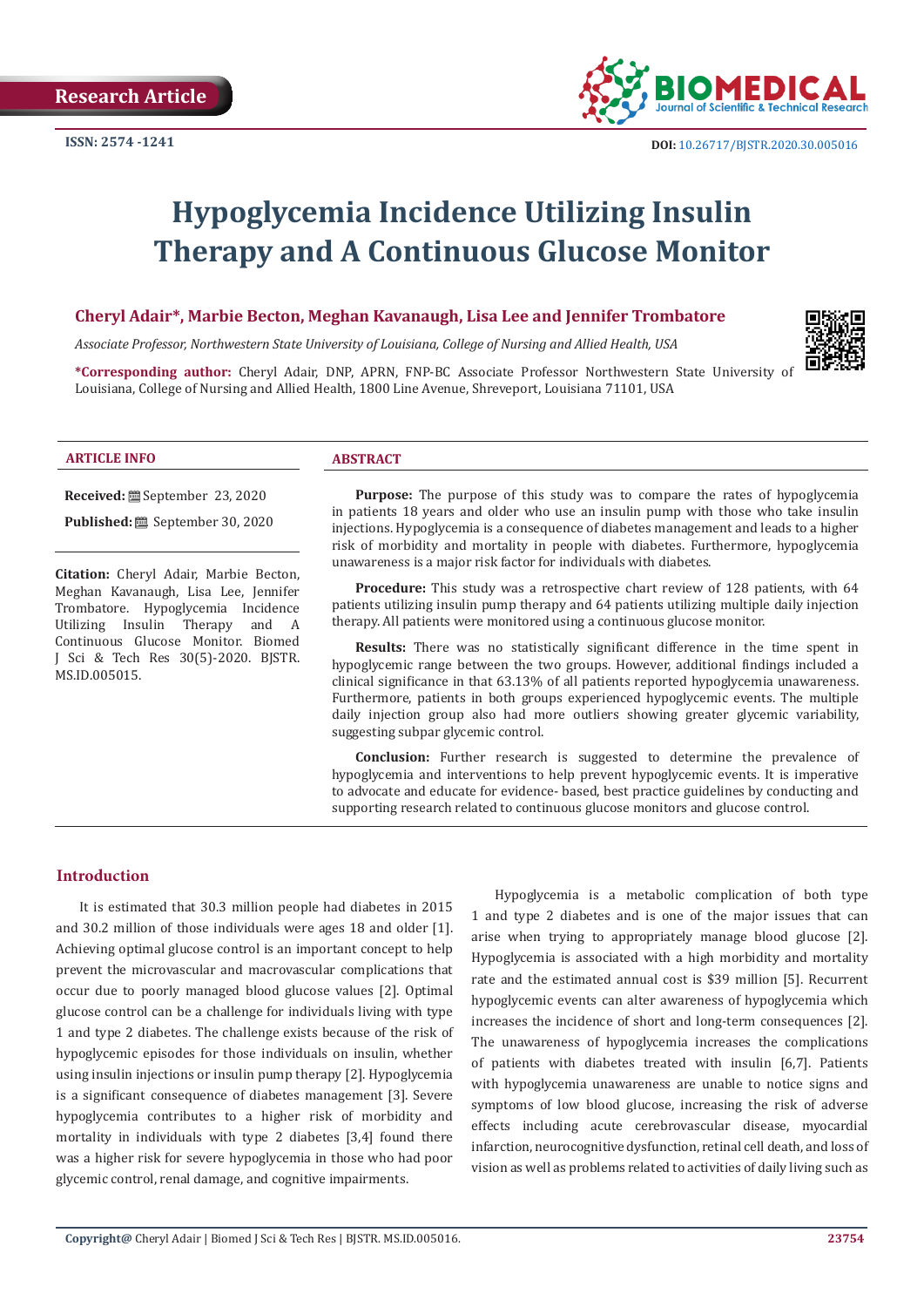

# **Hypoglycemia Incidence Utilizing Insulin Therapy and A Continuous Glucose Monitor**

# **Cheryl Adair\*, Marbie Becton, Meghan Kavanaugh, Lisa Lee and Jennifer Trombatore**

*Associate Professor, Northwestern State University of Louisiana, College of Nursing and Allied Health, USA*

**\*Corresponding author:** Cheryl Adair, DNP, APRN, FNP-BC Associate Professor Northwestern State University of Louisiana, College of Nursing and Allied Health, 1800 Line Avenue, Shreveport, Louisiana 71101, USA

#### **ARTICLE INFO ABSTRACT**

**Received:** September 23, 2020

**Published:** <sup>8</sup> September 30, 2020

**Citation:** Cheryl Adair, Marbie Becton, Meghan Kavanaugh, Lisa Lee, Jennifer Trombatore. Hypoglycemia Incidence Utilizing Insulin Therapy and A Continuous Glucose Monitor. Biomed J Sci & Tech Res 30(5)-2020. BJSTR. MS.ID.005015.

**Purpose:** The purpose of this study was to compare the rates of hypoglycemia in patients 18 years and older who use an insulin pump with those who take insulin injections. Hypoglycemia is a consequence of diabetes management and leads to a higher risk of morbidity and mortality in people with diabetes. Furthermore, hypoglycemia unawareness is a major risk factor for individuals with diabetes.

**Procedure:** This study was a retrospective chart review of 128 patients, with 64 patients utilizing insulin pump therapy and 64 patients utilizing multiple daily injection therapy. All patients were monitored using a continuous glucose monitor.

**Results:** There was no statistically significant difference in the time spent in hypoglycemic range between the two groups. However, additional findings included a clinical significance in that 63.13% of all patients reported hypoglycemia unawareness. Furthermore, patients in both groups experienced hypoglycemic events. The multiple daily injection group also had more outliers showing greater glycemic variability, suggesting subpar glycemic control.

**Conclusion:** Further research is suggested to determine the prevalence of hypoglycemia and interventions to help prevent hypoglycemic events. It is imperative to advocate and educate for evidence- based, best practice guidelines by conducting and supporting research related to continuous glucose monitors and glucose control.

# **Introduction**

It is estimated that 30.3 million people had diabetes in 2015 and 30.2 million of those individuals were ages 18 and older [1]. Achieving optimal glucose control is an important concept to help prevent the microvascular and macrovascular complications that occur due to poorly managed blood glucose values [2]. Optimal glucose control can be a challenge for individuals living with type 1 and type 2 diabetes. The challenge exists because of the risk of hypoglycemic episodes for those individuals on insulin, whether using insulin injections or insulin pump therapy [2]. Hypoglycemia is a significant consequence of diabetes management [3]. Severe hypoglycemia contributes to a higher risk of morbidity and mortality in individuals with type 2 diabetes [3,4] found there was a higher risk for severe hypoglycemia in those who had poor glycemic control, renal damage, and cognitive impairments.

Hypoglycemia is a metabolic complication of both type 1 and type 2 diabetes and is one of the major issues that can arise when trying to appropriately manage blood glucose [2]. Hypoglycemia is associated with a high morbidity and mortality rate and the estimated annual cost is \$39 million [5]. Recurrent hypoglycemic events can alter awareness of hypoglycemia which increases the incidence of short and long-term consequences [2]. The unawareness of hypoglycemia increases the complications of patients with diabetes treated with insulin [6,7]. Patients with hypoglycemia unawareness are unable to notice signs and symptoms of low blood glucose, increasing the risk of adverse effects including acute cerebrovascular disease, myocardial infarction, neurocognitive dysfunction, retinal cell death, and loss of vision as well as problems related to activities of daily living such as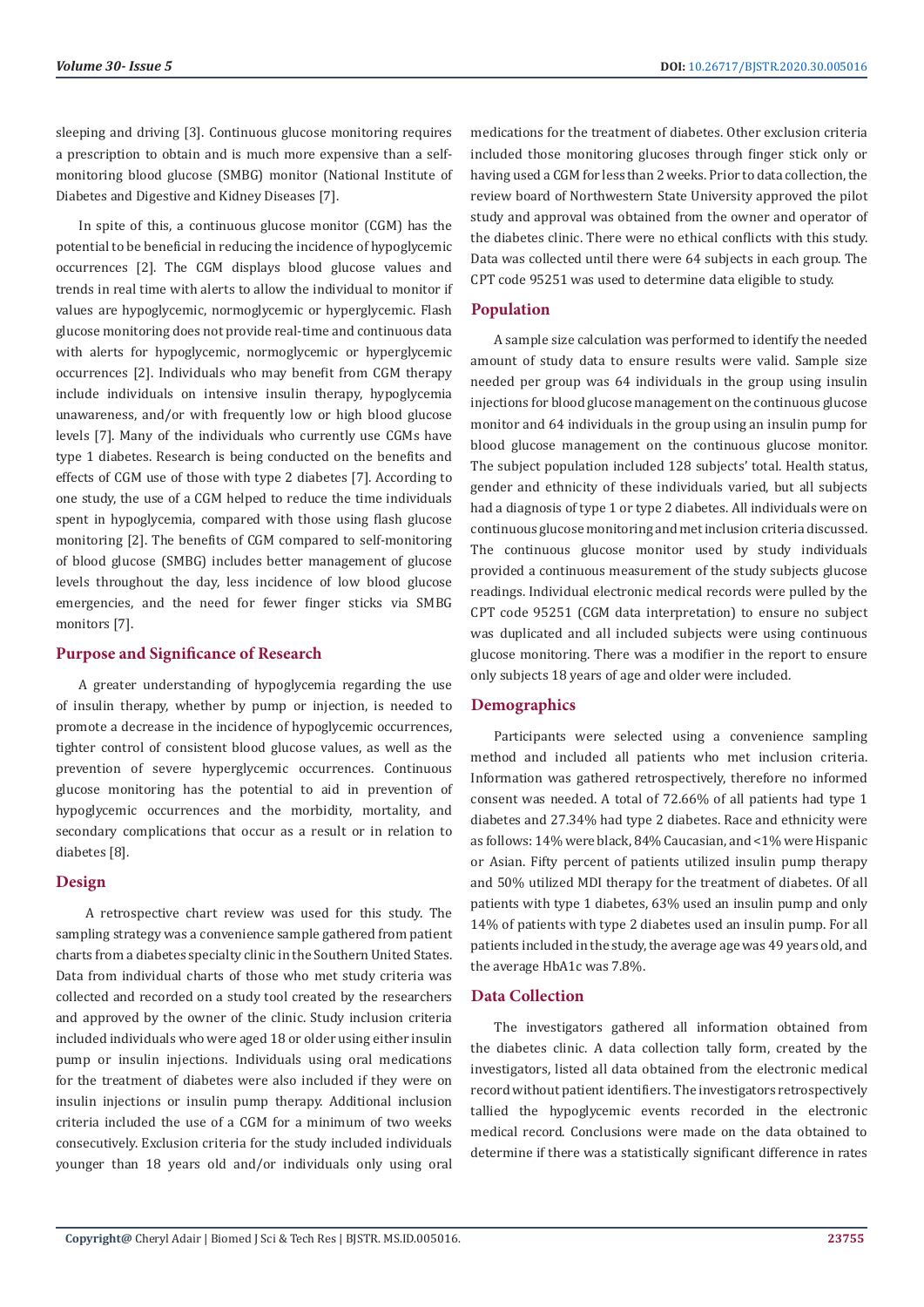sleeping and driving [3]. Continuous glucose monitoring requires a prescription to obtain and is much more expensive than a selfmonitoring blood glucose (SMBG) monitor (National Institute of Diabetes and Digestive and Kidney Diseases [7].

In spite of this, a continuous glucose monitor (CGM) has the potential to be beneficial in reducing the incidence of hypoglycemic occurrences [2]. The CGM displays blood glucose values and trends in real time with alerts to allow the individual to monitor if values are hypoglycemic, normoglycemic or hyperglycemic. Flash glucose monitoring does not provide real-time and continuous data with alerts for hypoglycemic, normoglycemic or hyperglycemic occurrences [2]. Individuals who may benefit from CGM therapy include individuals on intensive insulin therapy, hypoglycemia unawareness, and/or with frequently low or high blood glucose levels [7]. Many of the individuals who currently use CGMs have type 1 diabetes. Research is being conducted on the benefits and effects of CGM use of those with type 2 diabetes [7]. According to one study, the use of a CGM helped to reduce the time individuals spent in hypoglycemia, compared with those using flash glucose monitoring [2]. The benefits of CGM compared to self-monitoring of blood glucose (SMBG) includes better management of glucose levels throughout the day, less incidence of low blood glucose emergencies, and the need for fewer finger sticks via SMBG monitors [7].

## **Purpose and Significance of Research**

A greater understanding of hypoglycemia regarding the use of insulin therapy, whether by pump or injection, is needed to promote a decrease in the incidence of hypoglycemic occurrences, tighter control of consistent blood glucose values, as well as the prevention of severe hyperglycemic occurrences. Continuous glucose monitoring has the potential to aid in prevention of hypoglycemic occurrences and the morbidity, mortality, and secondary complications that occur as a result or in relation to diabetes [8].

## **Design**

 A retrospective chart review was used for this study. The sampling strategy was a convenience sample gathered from patient charts from a diabetes specialty clinic in the Southern United States. Data from individual charts of those who met study criteria was collected and recorded on a study tool created by the researchers and approved by the owner of the clinic. Study inclusion criteria included individuals who were aged 18 or older using either insulin pump or insulin injections. Individuals using oral medications for the treatment of diabetes were also included if they were on insulin injections or insulin pump therapy. Additional inclusion criteria included the use of a CGM for a minimum of two weeks consecutively. Exclusion criteria for the study included individuals younger than 18 years old and/or individuals only using oral

medications for the treatment of diabetes. Other exclusion criteria included those monitoring glucoses through finger stick only or having used a CGM for less than 2 weeks. Prior to data collection, the review board of Northwestern State University approved the pilot study and approval was obtained from the owner and operator of the diabetes clinic. There were no ethical conflicts with this study. Data was collected until there were 64 subjects in each group. The CPT code 95251 was used to determine data eligible to study.

## **Population**

A sample size calculation was performed to identify the needed amount of study data to ensure results were valid. Sample size needed per group was 64 individuals in the group using insulin injections for blood glucose management on the continuous glucose monitor and 64 individuals in the group using an insulin pump for blood glucose management on the continuous glucose monitor. The subject population included 128 subjects' total. Health status, gender and ethnicity of these individuals varied, but all subjects had a diagnosis of type 1 or type 2 diabetes. All individuals were on continuous glucose monitoring and met inclusion criteria discussed. The continuous glucose monitor used by study individuals provided a continuous measurement of the study subjects glucose readings. Individual electronic medical records were pulled by the CPT code 95251 (CGM data interpretation) to ensure no subject was duplicated and all included subjects were using continuous glucose monitoring. There was a modifier in the report to ensure only subjects 18 years of age and older were included.

## **Demographics**

Participants were selected using a convenience sampling method and included all patients who met inclusion criteria. Information was gathered retrospectively, therefore no informed consent was needed. A total of 72.66% of all patients had type 1 diabetes and 27.34% had type 2 diabetes. Race and ethnicity were as follows: 14% were black, 84% Caucasian, and <1% were Hispanic or Asian. Fifty percent of patients utilized insulin pump therapy and 50% utilized MDI therapy for the treatment of diabetes. Of all patients with type 1 diabetes, 63% used an insulin pump and only 14% of patients with type 2 diabetes used an insulin pump. For all patients included in the study, the average age was 49 years old, and the average HbA1c was 7.8%.

## **Data Collection**

The investigators gathered all information obtained from the diabetes clinic. A data collection tally form, created by the investigators, listed all data obtained from the electronic medical record without patient identifiers. The investigators retrospectively tallied the hypoglycemic events recorded in the electronic medical record. Conclusions were made on the data obtained to determine if there was a statistically significant difference in rates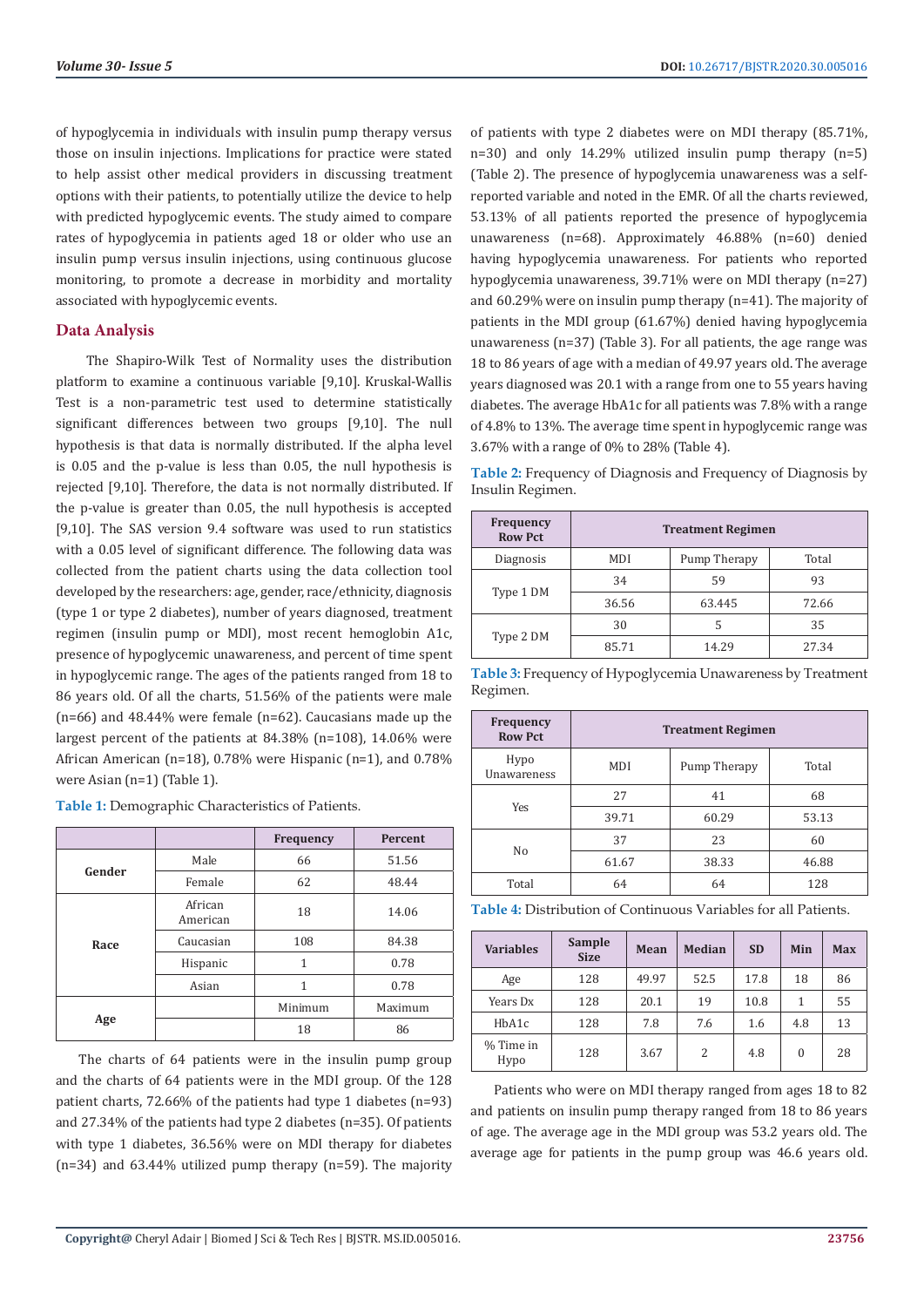of hypoglycemia in individuals with insulin pump therapy versus those on insulin injections. Implications for practice were stated to help assist other medical providers in discussing treatment options with their patients, to potentially utilize the device to help with predicted hypoglycemic events. The study aimed to compare rates of hypoglycemia in patients aged 18 or older who use an insulin pump versus insulin injections, using continuous glucose monitoring, to promote a decrease in morbidity and mortality associated with hypoglycemic events.

#### **Data Analysis**

 The Shapiro-Wilk Test of Normality uses the distribution platform to examine a continuous variable [9,10]. Kruskal-Wallis Test is a non-parametric test used to determine statistically significant differences between two groups [9,10]. The null hypothesis is that data is normally distributed. If the alpha level is 0.05 and the p-value is less than 0.05, the null hypothesis is rejected [9,10]. Therefore, the data is not normally distributed. If the p-value is greater than 0.05, the null hypothesis is accepted [9,10]. The SAS version 9.4 software was used to run statistics with a 0.05 level of significant difference. The following data was collected from the patient charts using the data collection tool developed by the researchers: age, gender, race/ethnicity, diagnosis (type 1 or type 2 diabetes), number of years diagnosed, treatment regimen (insulin pump or MDI), most recent hemoglobin A1c, presence of hypoglycemic unawareness, and percent of time spent in hypoglycemic range. The ages of the patients ranged from 18 to 86 years old. Of all the charts, 51.56% of the patients were male (n=66) and 48.44% were female (n=62). Caucasians made up the largest percent of the patients at 84.38% (n=108), 14.06% were African American (n=18), 0.78% were Hispanic (n=1), and 0.78% were Asian (n=1) (Table 1).

**Table 1:** Demographic Characteristics of Patients.

|        |                     | Frequency    | Percent |
|--------|---------------------|--------------|---------|
| Gender | Male                | 66           | 51.56   |
|        | Female              | 62           | 48.44   |
|        | African<br>American | 18           | 14.06   |
| Race   | 108<br>Caucasian    |              | 84.38   |
|        | Hispanic            | $\mathbf{1}$ | 0.78    |
|        | Asian               | 1            | 0.78    |
|        |                     | Minimum      | Maximum |
| Age    |                     | 18           | 86      |

The charts of 64 patients were in the insulin pump group and the charts of 64 patients were in the MDI group. Of the 128 patient charts, 72.66% of the patients had type 1 diabetes (n=93) and 27.34% of the patients had type 2 diabetes (n=35). Of patients with type 1 diabetes, 36.56% were on MDI therapy for diabetes  $(n=34)$  and 63.44% utilized pump therapy  $(n=59)$ . The majority

of patients with type 2 diabetes were on MDI therapy (85.71%, n=30) and only 14.29% utilized insulin pump therapy (n=5) (Table 2). The presence of hypoglycemia unawareness was a selfreported variable and noted in the EMR. Of all the charts reviewed, 53.13% of all patients reported the presence of hypoglycemia unawareness (n=68). Approximately 46.88% (n=60) denied having hypoglycemia unawareness. For patients who reported hypoglycemia unawareness, 39.71% were on MDI therapy (n=27) and 60.29% were on insulin pump therapy (n=41). The majority of patients in the MDI group (61.67%) denied having hypoglycemia unawareness (n=37) (Table 3). For all patients, the age range was 18 to 86 years of age with a median of 49.97 years old. The average years diagnosed was 20.1 with a range from one to 55 years having diabetes. The average HbA1c for all patients was 7.8% with a range of 4.8% to 13%. The average time spent in hypoglycemic range was 3.67% with a range of 0% to 28% (Table 4).

**Table 2:** Frequency of Diagnosis and Frequency of Diagnosis by Insulin Regimen.

| Frequency<br><b>Row Pct</b> | <b>Treatment Regimen</b> |              |       |  |  |
|-----------------------------|--------------------------|--------------|-------|--|--|
| Diagnosis                   | <b>MDI</b>               | Pump Therapy | Total |  |  |
| Type 1 DM                   | 34                       | 59           | 93    |  |  |
|                             | 36.56                    | 63.445       | 72.66 |  |  |
|                             | 30                       | 5            | 35    |  |  |
| Type 2 DM                   | 85.71                    | 14.29        | 27.34 |  |  |

**Table 3:** Frequency of Hypoglycemia Unawareness by Treatment Regimen.

| Frequency<br><b>Row Pct</b> | <b>Treatment Regimen</b> |              |       |  |
|-----------------------------|--------------------------|--------------|-------|--|
| Hypo<br><b>Unawareness</b>  | MDI                      | Pump Therapy | Total |  |
|                             | 27                       | 41           | 68    |  |
| Yes<br>39.71                | 60.29                    | 53.13        |       |  |
|                             | 37                       | 23           | 60    |  |
| No                          | 61.67                    | 38.33        | 46.88 |  |
| Total                       | 64                       | 64           | 128   |  |

| <b>Table 4:</b> Distribution of Continuous Variables for all Patients. |
|------------------------------------------------------------------------|
|------------------------------------------------------------------------|

| <b>Variables</b>  | Sample<br><b>Size</b> | <b>Mean</b> | <b>Median</b> | <b>SD</b> | Min | Max |
|-------------------|-----------------------|-------------|---------------|-----------|-----|-----|
| Age               | 128                   | 49.97       | 52.5          | 17.8      | 18  | 86  |
| Years Dx          | 128                   | 20.1        | 19            | 10.8      | 1   | 55  |
| HbA1c             | 128                   | 7.8         | 7.6           | 1.6       | 4.8 | 13  |
| % Time in<br>Hypo | 128                   | 3.67        | 2             | 4.8       | 0   | 28  |

Patients who were on MDI therapy ranged from ages 18 to 82 and patients on insulin pump therapy ranged from 18 to 86 years of age. The average age in the MDI group was 53.2 years old. The average age for patients in the pump group was 46.6 years old.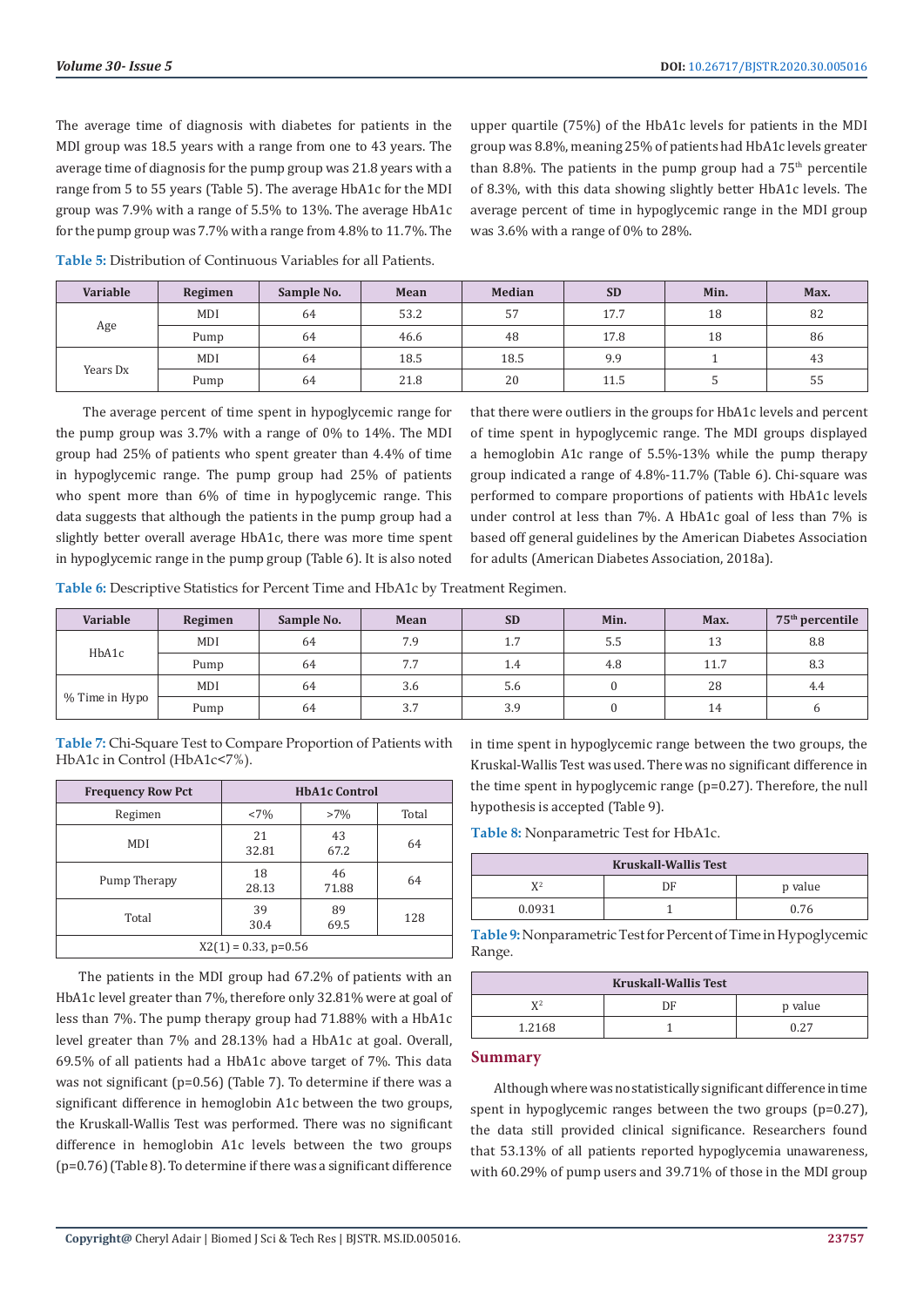The average time of diagnosis with diabetes for patients in the MDI group was 18.5 years with a range from one to 43 years. The average time of diagnosis for the pump group was 21.8 years with a range from 5 to 55 years (Table 5). The average HbA1c for the MDI group was 7.9% with a range of 5.5% to 13%. The average HbA1c for the pump group was 7.7% with a range from 4.8% to 11.7%. The upper quartile (75%) of the HbA1c levels for patients in the MDI group was 8.8%, meaning 25% of patients had HbA1c levels greater than 8.8%. The patients in the pump group had a  $75<sup>th</sup>$  percentile of 8.3%, with this data showing slightly better HbA1c levels. The average percent of time in hypoglycemic range in the MDI group was 3.6% with a range of 0% to 28%.

**Table 5:** Distribution of Continuous Variables for all Patients.

| Variable | Regimen | Sample No. | Mean | <b>Median</b> | <b>SD</b> | Min. | Max. |
|----------|---------|------------|------|---------------|-----------|------|------|
|          | MDI     | 64         | 53.2 | 57            | 17.7      | 18   | 82   |
| Age      | Pump    | 64         | 46.6 | 48            | 17.8      | 18   | 86   |
|          | MDI     | 64         | 18.5 | 18.5          | 9.9       |      | 43   |
| Years Dx | Pump    | 64         | 21.8 | 20            | 11.5      |      | 55   |

 The average percent of time spent in hypoglycemic range for the pump group was 3.7% with a range of 0% to 14%. The MDI group had 25% of patients who spent greater than 4.4% of time in hypoglycemic range. The pump group had 25% of patients who spent more than 6% of time in hypoglycemic range. This data suggests that although the patients in the pump group had a slightly better overall average HbA1c, there was more time spent in hypoglycemic range in the pump group (Table 6). It is also noted

that there were outliers in the groups for HbA1c levels and percent of time spent in hypoglycemic range. The MDI groups displayed a hemoglobin A1c range of 5.5%-13% while the pump therapy group indicated a range of 4.8%-11.7% (Table 6). Chi-square was performed to compare proportions of patients with HbA1c levels under control at less than 7%. A HbA1c goal of less than 7% is based off general guidelines by the American Diabetes Association for adults (American Diabetes Association, 2018a).

**Table 6:** Descriptive Statistics for Percent Time and HbA1c by Treatment Regimen.

| Variable       | Regimen | Sample No. | Mean | <b>SD</b> | Min. | Max.     | $75th$ percentile |
|----------------|---------|------------|------|-----------|------|----------|-------------------|
| HbA1c          | MDI     | 64         | 7.9  | 1.7       | 5.5  | 12<br>⊥ఎ | 8.8               |
|                | Pump    | 64         | 7.7  | 1.4       | 4.8  | 11.7     | 8.3               |
|                | MDI     | 64         | 3.6  | 5.6       |      | 28       | 4.4               |
| % Time in Hypo | Pump    | 64         | 3.7  | 3.9       |      | 14       |                   |

**Table 7:** Chi-Square Test to Compare Proportion of Patients with HbA1c in Control (HbA1c<7%).

| <b>Frequency Row Pct</b> | <b>HbA1c Control</b> |             |       |  |
|--------------------------|----------------------|-------------|-------|--|
| Regimen                  | $< 7\%$              | $>7\%$      | Total |  |
| MDI                      | 21<br>32.81          | 43<br>67.2  | 64    |  |
| Pump Therapy             | 18<br>28.13          | 46<br>71.88 | 64    |  |
| Total                    | 39<br>30.4           | 89<br>69.5  | 128   |  |
| $X2(1) = 0.33$ , p=0.56  |                      |             |       |  |

The patients in the MDI group had 67.2% of patients with an HbA1c level greater than 7%, therefore only 32.81% were at goal of less than 7%. The pump therapy group had 71.88% with a HbA1c level greater than 7% and 28.13% had a HbA1c at goal. Overall, 69.5% of all patients had a HbA1c above target of 7%. This data was not significant (p=0.56) (Table 7). To determine if there was a significant difference in hemoglobin A1c between the two groups, the Kruskall-Wallis Test was performed. There was no significant difference in hemoglobin A1c levels between the two groups (p=0.76) (Table 8). To determine if there was a significant difference

in time spent in hypoglycemic range between the two groups, the Kruskal-Wallis Test was used. There was no significant difference in the time spent in hypoglycemic range (p=0.27). Therefore, the null hypothesis is accepted (Table 9).

**Table 8:** Nonparametric Test for HbA1c.

| <b>Kruskall-Wallis Test</b> |    |         |  |  |
|-----------------------------|----|---------|--|--|
| V2                          | DE | p value |  |  |
| 0.0931                      |    | 0.76    |  |  |

**Table 9:** Nonparametric Test for Percent of Time in Hypoglycemic Range.

| <b>Kruskall-Wallis Test</b> |    |         |  |  |
|-----------------------------|----|---------|--|--|
| $\mathbf{V}^2$              | DЕ | p value |  |  |
| 1.2168                      |    | በ 27    |  |  |

#### **Summary**

Although where was no statistically significant difference in time spent in hypoglycemic ranges between the two groups (p=0.27), the data still provided clinical significance. Researchers found that 53.13% of all patients reported hypoglycemia unawareness, with 60.29% of pump users and 39.71% of those in the MDI group